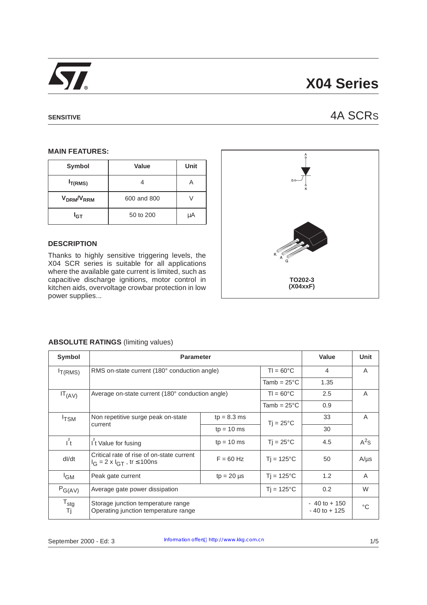

# **X04 Series**

## **SENSITIVE** 4A SCRS

### **MAIN FEATURES:**

| Symbol                             | Value       | Unit |
|------------------------------------|-------------|------|
| $I_{T(RMS)}$                       |             |      |
| V <sub>DRM</sub> /V <sub>RRM</sub> | 600 and 800 |      |
| I <sub>GT</sub>                    | 50 to 200   | μA   |

## **DESCRIPTION**

Thanks to highly sensitive triggering levels, the X04 SCR series is suitable for all applications where the available gate current is limited, such as capacitive discharge ignitions, motor control in kitchen aids, overvoltage crowbar protection in low power supplies...



## **ABSOLUTE RATINGS** (limiting values)

| Symbol                 | <b>Parameter</b>                                                                        | Value           | <b>Unit</b>         |                                    |             |
|------------------------|-----------------------------------------------------------------------------------------|-----------------|---------------------|------------------------------------|-------------|
| $I_{T(RMS)}$           | RMS on-state current (180° conduction angle)                                            |                 | $T = 60^{\circ}$ C  | 4                                  | A           |
|                        | Tamb = $25^{\circ}$ C                                                                   |                 |                     | 1.35                               |             |
| $IT_{(AV)}$            | Average on-state current (180° conduction angle)                                        |                 | $T = 60^{\circ}$ C  | 2.5                                | A           |
|                        |                                                                                         |                 |                     | 0.9                                |             |
| <sup>I</sup> TSM       | Non repetitive surge peak on-state<br>current                                           | $tp = 8.3$ ms   | $Ti = 25^{\circ}C$  | 33                                 | A           |
|                        |                                                                                         | $tp = 10$ ms    |                     | 30                                 |             |
| $I^2$                  | <b>It Value for fusing</b>                                                              | $tp = 10$ ms    | $Ti = 25^{\circ}C$  | 4.5                                | $A^2S$      |
| dl/dt                  | Critical rate of rise of on-state current<br>$I_G = 2 \times I_{GT}$ , tr $\leq 100$ ns | $F = 60$ Hz     | $Ti = 125^{\circ}C$ | 50                                 | $A/\mu s$   |
| <sup>I</sup> GM        | Peak gate current                                                                       | $tp = 20 \mu s$ | $Ti = 125^{\circ}C$ | 1.2                                | A           |
| $P_{G(AV)}$            | $Tj = 125^{\circ}C$<br>Average gate power dissipation                                   |                 |                     | 0.2                                | W           |
| $T_{\text{stg}}$<br>Tj | Storage junction temperature range<br>Operating junction temperature range              |                 |                     | $-40$ to $+150$<br>$-40$ to $+125$ | $^{\circ}C$ |

September 2000 - Ed: 3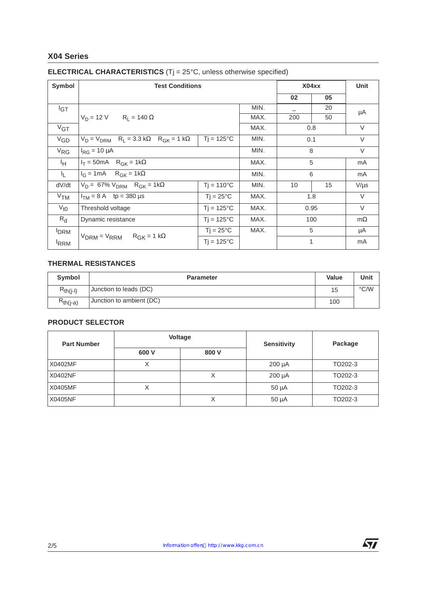## **X04 Series**

| Symbol           | <b>Test Conditions</b>                                                                |                     |      | X04xx                    |     | <b>Unit</b> |
|------------------|---------------------------------------------------------------------------------------|---------------------|------|--------------------------|-----|-------------|
|                  |                                                                                       |                     |      | 02                       | 05  |             |
| $I_{\text{GT}}$  |                                                                                       |                     | MIN. | $\overline{\phantom{0}}$ | 20  | μA          |
|                  | $V_D = 12 V$ $R_L = 140 \Omega$                                                       |                     | MAX. | 200                      | 50  |             |
| $V_{GT}$         |                                                                                       |                     | MAX. |                          | 0.8 | $\vee$      |
| $V_{GD}$         | $Tj = 125^{\circ}C$<br>$V_D = V_{DRM}$ R <sub>L</sub> = 3.3 kΩ R <sub>GK</sub> = 1 kΩ |                     | MIN. | 0.1                      |     | $\vee$      |
| $V_{RG}$         | $I_{RG} = 10 \mu A$                                                                   |                     | MIN. | 8                        |     | $\vee$      |
| ŀн.              | $I_T = 50mA$ R <sub>GK</sub> = 1k $\Omega$                                            |                     | MAX. | 5                        |     | mA          |
| 址                | $I_G = 1mA$ R <sub>GK</sub> = 1kΩ                                                     |                     | MIN. | 6                        |     | mA          |
| dV/dt            | $V_D = 67\% V_{DRM}$ R <sub>GK</sub> = 1kΩ                                            | $Ti = 110^{\circ}C$ | MIN. | 10                       | 15  | $V/\mu s$   |
| V <sub>TM</sub>  | $I_{TM} = 8 A$ tp = 380 µs<br>$Tj = 25^{\circ}C$                                      |                     | MAX. | 1.8                      |     | $\vee$      |
| $V_{t0}$         | $Tj = 125^{\circ}C$<br>Threshold voltage                                              |                     | MAX. | 0.95                     |     | $\vee$      |
| $R_{d}$          | $Tj = 125^{\circ}C$<br>Dynamic resistance                                             |                     | MAX. | 100                      |     | $m\Omega$   |
| <b>DRM</b>       | $Tj = 25^{\circ}C$                                                                    |                     | MAX. |                          | 5   | μA          |
| <sup>I</sup> RRM | $V_{DRM} = V_{RRM}$ $R_{GK} = 1 k\Omega$                                              | $Ti = 125^{\circ}C$ |      |                          | 1   | mA          |

## **ELECTRICAL CHARACTERISTICS** (Tj = 25°C, unless otherwise specified)

## **THERMAL RESISTANCES**

| Symbol        | <b>Parameter</b>         | <b>Value</b> | Unit          |
|---------------|--------------------------|--------------|---------------|
| $R_{th(i-l)}$ | Junction to leads (DC)   | 15           | $\degree$ C/W |
| $R_{th(j-a)}$ | Junction to ambient (DC) | 100          |               |

## **PRODUCT SELECTOR**

| <b>Part Number</b> | <b>Voltage</b> |       | <b>Sensitivity</b> | Package |  |
|--------------------|----------------|-------|--------------------|---------|--|
|                    | 600 V          | 800 V |                    |         |  |
| X0402MF            | Х              |       | $200 \mu A$        | TO202-3 |  |
| X0402NF            |                | ⌒     | $200 \mu A$        | TO202-3 |  |
| X0405MF            | ◡<br>⋏         |       | $50 \mu A$         | TO202-3 |  |
| X0405NF            |                | Χ     | $50 \mu A$         | TO202-3 |  |

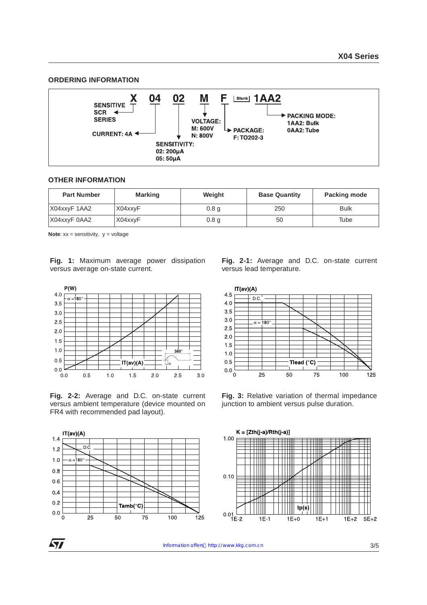## **ORDERING INFORMATION**



#### **OTHER INFORMATION**

| <b>Part Number</b> | <b>Marking</b> | Weight           | <b>Base Quantity</b> | Packing mode |
|--------------------|----------------|------------------|----------------------|--------------|
| X04xxyF 1AA2       | X04xxyF        | 0.8 <sub>g</sub> | 250                  | <b>Bulk</b>  |
| X04xxyF 0AA2       | X04xxyF        | 0.8 <sub>q</sub> | 50                   | Tube         |

**Note:** xx = sensitivity, y = voltage

**Fig. 1:** Maximum average power dissipation versus average on-state current.



**Fig. 2-2:** Average and D.C. on-state current versus ambient temperature (device mounted on FR4 with recommended pad layout).



**Fig. 2-1:** Average and D.C. on-state current versus lead temperature.



**Fig. 3:** Relative variation of thermal impedance junction to ambient versus pulse duration.



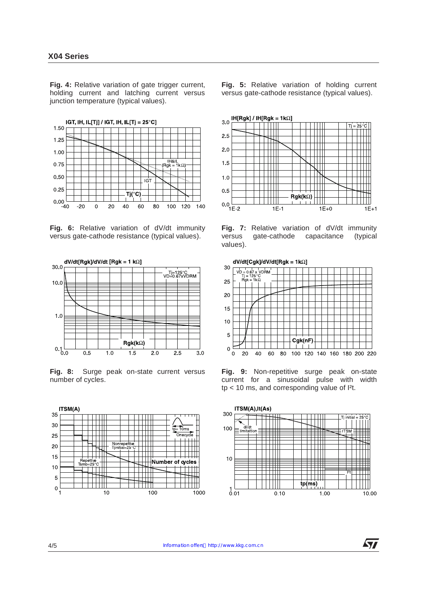**Fig. 4:** Relative variation of gate trigger current, holding current and latching current versus junction temperature (typical values).



**Fig. 6:** Relative variation of dV/dt immunity versus gate-cathode resistance (typical values).



**Fig. 8:** Surge peak on-state current versus number of cycles.



**Fig. 5:** Relative variation of holding current versus gate-cathode resistance (typical values).



**Fig. 7:** Relative variation of dV/dt immunity versus gate-cathode capacitance (typical values).



**Fig. 9:** Non-repetitive surge peak on-state current for a sinusoidal pulse with width tp < 10 ms, and corresponding value of I²t.